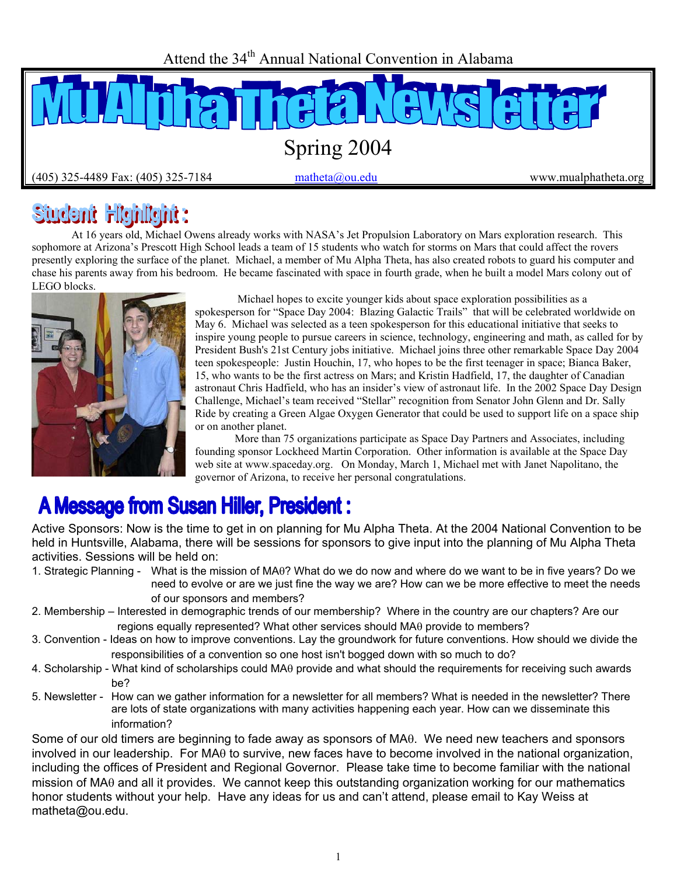Attend the 34<sup>th</sup> Annual National Convention in Alabama



(405) 325-4489 Fax: (405) 325-7184 [matheta@ou.edu](mailto:matheta@ou.edu) www.mualphatheta.org

# Student Highlight:

At 16 years old, Michael Owens already works with NASA's Jet Propulsion Laboratory on Mars exploration research. This sophomore at Arizona's Prescott High School leads a team of 15 students who watch for storms on Mars that could affect the rovers presently exploring the surface of the planet. Michael, a member of Mu Alpha Theta, has also created robots to guard his computer and chase his parents away from his bedroom. He became fascinated with space in fourth grade, when he built a model Mars colony out of LEGO blocks.



 Michael hopes to excite younger kids about space exploration possibilities as a spokesperson for "Space Day 2004: Blazing Galactic Trails" that will be celebrated worldwide on May 6. Michael was selected as a teen spokesperson for this educational initiative that seeks to inspire young people to pursue careers in science, technology, engineering and math, as called for by President Bush's 21st Century jobs initiative. Michael joins three other remarkable Space Day 2004 teen spokespeople: Justin Houchin, 17, who hopes to be the first teenager in space; Bianca Baker, 15, who wants to be the first actress on Mars; and Kristin Hadfield, 17, the daughter of Canadian astronaut Chris Hadfield, who has an insider's view of astronaut life. In the 2002 Space Day Design Challenge, Michael's team received "Stellar" recognition from Senator John Glenn and Dr. Sally Ride by creating a Green Algae Oxygen Generator that could be used to support life on a space ship or on another planet.

More than 75 organizations participate as Space Day Partners and Associates, including founding sponsor Lockheed Martin Corporation. Other information is available at the Space Day web site at www.spaceday.org. On Monday, March 1, Michael met with Janet Napolitano, the governor of Arizona, to receive her personal congratulations.

# A Message from Susan Hiller, President:

Active Sponsors: Now is the time to get in on planning for Mu Alpha Theta. At the 2004 National Convention to be held in Huntsville, Alabama, there will be sessions for sponsors to give input into the planning of Mu Alpha Theta activities. Sessions will be held on:

- 1. Strategic Planning What is the mission of MAθ? What do we do now and where do we want to be in five years? Do we need to evolve or are we just fine the way we are? How can we be more effective to meet the needs
- of our sponsors and members?<br>2. Membership Interested in demographic trends of our membership? Where in the country are our chapters? Are our regions equally represented? What other services should MAθ provide to members?<br>3. Convention - Ideas on how to improve conventions. Lay the groundwork for future conventions. How should we divide the
- responsibilities of a convention so one host isn't bogged down with so much to do?
- 4. Scholarship What kind of scholarships could MAθ provide and what should the requirements for receiving such awards be? 5. Newsletter - How can we gather information for a newsletter for all members? What is needed in the newsletter? There
- are lots of state organizations with many activities happening each year. How can we disseminate this information?

Some of our old timers are beginning to fade away as sponsors of MAθ. We need new teachers and sponsors involved in our leadership. For MAθ to survive, new faces have to become involved in the national organization, including the offices of President and Regional Governor. Please take time to become familiar with the national mission of MAθ and all it provides. We cannot keep this outstanding organization working for our mathematics honor students without your help. Have any ideas for us and can't attend, please email to Kay Weiss at matheta@ou.edu.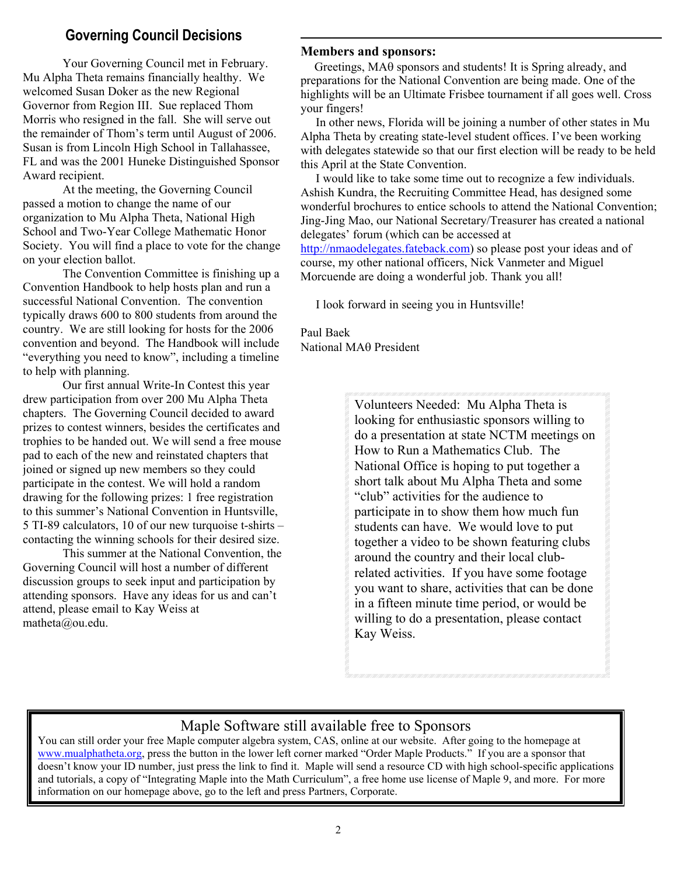## **Governing Council Decisions**

Your Governing Council met in February. Mu Alpha Theta remains financially healthy. We welcomed Susan Doker as the new Regional Governor from Region III. Sue replaced Thom Morris who resigned in the fall. She will serve out the remainder of Thom's term until August of 2006. Susan is from Lincoln High School in Tallahassee, FL and was the 2001 Huneke Distinguished Sponsor Award recipient.

At the meeting, the Governing Council passed a motion to change the name of our organization to Mu Alpha Theta, National High School and Two-Year College Mathematic Honor Society. You will find a place to vote for the change on your election ballot.

 "everything you need to know", including a timeline The Convention Committee is finishing up a Convention Handbook to help hosts plan and run a successful National Convention. The convention typically draws 600 to 800 students from around the country. We are still looking for hosts for the 2006 convention and beyond. The Handbook will include to help with planning.

Our first annual Write-In Contest this year drew participation from over 200 Mu Alpha Theta chapters. The Governing Council decided to award prizes to contest winners, besides the certificates and trophies to be handed out. We will send a free mouse pad to each of the new and reinstated chapters that joined or signed up new members so they could participate in the contest. We will hold a random drawing for the following prizes: 1 free registration to this summer's National Convention in Huntsville, 5 TI-89 calculators, 10 of our new turquoise t-shirts – contacting the winning schools for their desired size.

This summer at the National Convention, the Governing Council will host a number of different discussion groups to seek input and participation by attending sponsors. Have any ideas for us and can't attend, please email to Kay Weiss at matheta@ou.edu.

#### **Members and sponsors:**

 Greetings, MAθ sponsors and students! It is Spring already, and preparations for the National Convention are being made. One of the highlights will be an Ultimate Frisbee tournament if all goes well. Cross your fingers!

 In other news, Florida will be joining a number of other states in Mu Alpha Theta by creating state-level student offices. I've been working with delegates statewide so that our first election will be ready to be held this April at the State Convention.

 I would like to take some time out to recognize a few individuals. Ashish Kundra, the Recruiting Committee Head, has designed some wonderful brochures to entice schools to attend the National Convention; Jing-Jing Mao, our National Secretary/Treasurer has created a national delegates' forum (which can be accessed at [http://nmaodelegates.fateback.com](http://nmaodelegates.fateback.com/)) so please post your ideas and of course, my other national officers, Nick Vanmeter and Miguel

Morcuende are doing a wonderful job. Thank you all!

I look forward in seeing you in Huntsville!

Paul Baek National MAθ President

> Volunteers Needed: Mu Alpha Theta is looking for enthusiastic sponsors willing to do a presentation at state NCTM meetings on How to Run a Mathematics Club. The National Office is hoping to put together a short talk about Mu Alpha Theta and some "club" activities for the audience to participate in to show them how much fun students can have. We would love to put together a video to be shown featuring clubs around the country and their local clubrelated activities. If you have some footage you want to share, activities that can be done in a fifteen minute time period, or would be willing to do a presentation, please contact Kay Weiss.

#### Maple Software still available free to Sponsors

You can still order your free Maple computer algebra system, CAS, online at our website. After going to the homepage at [www.mualphatheta.org](http://www.mualphatheta.org/), press the button in the lower left corner marked "Order Maple Products." If you are a sponsor that doesn't know your ID number, just press the link to find it. Maple will send a resource CD with high school-specific applications and tutorials, a copy of "Integrating Maple into the Math Curriculum", a free home use license of Maple 9, and more. For more information on our homepage above, go to the left and press Partners, Corporate.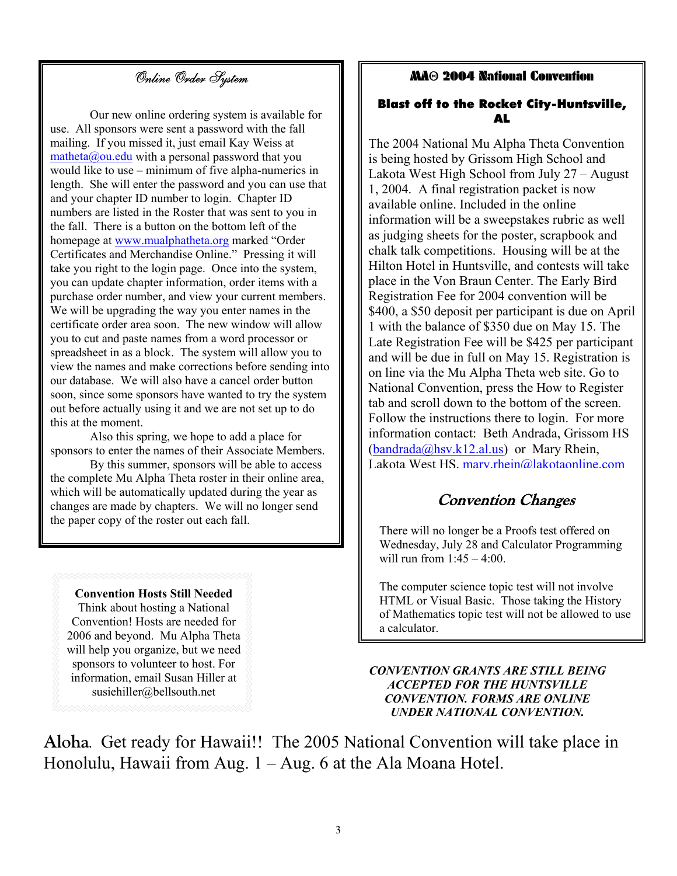# Online Order System

 certificate order area soon. The new window will allow 1 our database. We will also have a cancel order button Our new online ordering system is available for use. All sponsors were sent a password with the fall mailing. If you missed it, just email Kay Weiss at [matheta@ou.edu](mailto:matheta@ou.edu) with a personal password that you would like to use – minimum of five alpha-numerics in length. She will enter the password and you can use that and your chapter ID number to login. Chapter ID numbers are listed in the Roster that was sent to you in the fall. There is a button on the bottom left of the [homepage at www.mualphatheta.org](http://www.mualphatheta.org/) marked "Order Certificates and Merchandise Online." Pressing it will take you right to the login page. Once into the system , you can update chapter information, order items with a purchase order number, and view your current members. We will be upgrading the way you enter names in the you to cut and paste names from a word processor or spreadsheet in as a block. The system will allow you to view the names and make corrections before sending int o soon, since some sponsors have wanted to try the system out before actually using it and we are not set up to do this at the moment.

Also this spring, we hope to add a place for sponsors to enter the names of their Associate Members.

By this summer, sponsors will be able to access the complete Mu Alpha Theta roster in their online area , which will be automatically updated during the year as changes are made by chapters. We wi ll no longer send the paper copy of the roster out each fall.

**Convention Hosts Still Needed**  Think about hosting a National Convention! Hosts are needed for 2006 and beyond. Mu Alpha Theta will help you organize, but we need sponsors to volunteer to host. For information, email Susan Hiller at susiehiller@bellsouth.net

#### MAΘ 2004 National Convention

#### Blast off to the Rocket City-Huntsville, AL

The 2004 National Mu Alpha Theta Convention is being hosted by Grissom High School and Lakota West High School from July 27 – August 1, 2004. A final registration packet is now available online. Included in the online information will be a sweepstakes rubric as well as judging sheets for the poster, scrapbook and chalk talk competitions. Housing will be at th e Hilton Hotel in Huntsville, and contests will take place in the Von Braun Center. The Early B ird Registration Fee for 2004 convention will be \$400, a \$50 deposit per participant is due on Apr il 1 with the balance of \$350 due on May 15. The Late Registration Fee will be \$425 per particip ant and will be due in full on May 15. Registration is on line via the Mu Alpha Theta web site. Go to National Convention, press the How to Register tab and scroll down to the bottom of the screen . Follow the instructions there to login. For more inform ation [contact:](mailto:bandrada@hsv.k12.al.us) Beth Andrada, Grissom HS  $(bandrada@hsv.k12.al.us)$  or Mary Rhein, Lakota West HS, mary rhein@lakotaonline.com

## Convention Changes

There will no longer be a Proofs test offered on Wednesday, July 28 and Calculator Programming will run from  $1:45 - 4:00$ .

The computer science topic test will not involve HTML or Visual Basic. Those taking the History of Mathematics topic test will not be allowed to use a calculator.

#### *CONVENTION GRANTS ARE STILL BEING ACCEPTED FOR THE HUNTSVILLE CONVENTION. FORMS ARE ONLINE UNDER NATIONAL CONVENTION.*

**Aloha**. Get ready for Hawaii!! The 2005 National Convention will take place in Honolulu, Hawaii from Aug. 1 – Aug. 6 at the Ala Moana Hotel.